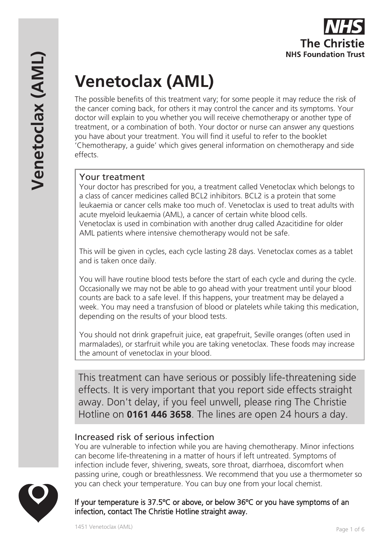# **Venetoclax (AML) Venetoclax (AML)**

**Venetoclax (AML)** 

The possible benefits of this treatment vary; for some people it may reduce the risk of the cancer coming back, for others it may control the cancer and its symptoms. Your doctor will explain to you whether you will receive chemotherapy or another type of treatment, or a combination of both. Your doctor or nurse can answer any questions you have about your treatment. You will find it useful to refer to the booklet 'Chemotherapy, a guide' which gives general information on chemotherapy and side effects.

# Your treatment

Your doctor has prescribed for you, a treatment called Venetoclax which belongs to a class of cancer medicines called BCL2 inhibitors. BCL2 is a protein that some leukaemia or cancer cells make too much of. Venetoclax is used to treat adults with acute myeloid leukaemia (AML), a cancer of certain white blood cells. Venetoclax is used in combination with another drug called Azacitidine for older AML patients where intensive chemotherapy would not be safe.

This will be given in cycles, each cycle lasting 28 days. Venetoclax comes as a tablet and is taken once daily.

You will have routine blood tests before the start of each cycle and during the cycle. Occasionally we may not be able to go ahead with your treatment until your blood counts are back to a safe level. If this happens, your treatment may be delayed a week. You may need a transfusion of blood or platelets while taking this medication, depending on the results of your blood tests.

You should not drink grapefruit juice, eat grapefruit, Seville oranges (often used in marmalades), or starfruit while you are taking venetoclax. These foods may increase the amount of venetoclax in your blood.

This treatment can have serious or possibly life-threatening side effects. It is very important that you report side effects straight away. Don't delay, if you feel unwell, please ring The Christie Hotline on **0161 446 3658**. The lines are open 24 hours a day.

# Increased risk of serious infection

You are vulnerable to infection while you are having chemotherapy. Minor infections can become life-threatening in a matter of hours if left untreated. Symptoms of infection include fever, shivering, sweats, sore throat, diarrhoea, discomfort when passing urine, cough or breathlessness. We recommend that you use a thermometer so you can check your temperature. You can buy one from your local chemist.



If your temperature is 37.5ºC or above, or below 36ºC or you have symptoms of an infection, contact The Christie Hotline straight away.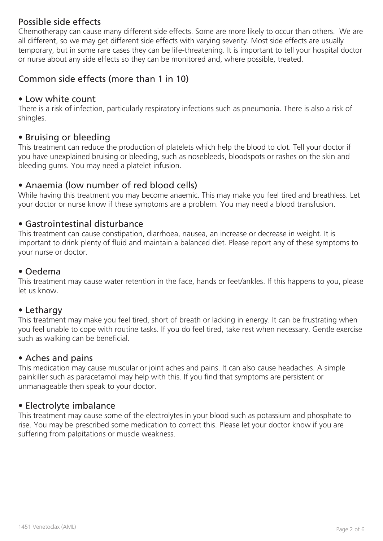# Possible side effects

Chemotherapy can cause many different side effects. Some are more likely to occur than others. We are all different, so we may get different side effects with varying severity. Most side effects are usually temporary, but in some rare cases they can be life-threatening. It is important to tell your hospital doctor or nurse about any side effects so they can be monitored and, where possible, treated.

# Common side effects (more than 1 in 10)

#### • Low white count

There is a risk of infection, particularly respiratory infections such as pneumonia. There is also a risk of shingles.

# • Bruising or bleeding

This treatment can reduce the production of platelets which help the blood to clot. Tell your doctor if you have unexplained bruising or bleeding, such as nosebleeds, bloodspots or rashes on the skin and bleeding gums. You may need a platelet infusion.

# • Anaemia (low number of red blood cells)

While having this treatment you may become anaemic. This may make you feel tired and breathless. Let your doctor or nurse know if these symptoms are a problem. You may need a blood transfusion.

# • Gastrointestinal disturbance

This treatment can cause constipation, diarrhoea, nausea, an increase or decrease in weight. It is important to drink plenty of fluid and maintain a balanced diet. Please report any of these symptoms to your nurse or doctor.

#### • Oedema

This treatment may cause water retention in the face, hands or feet/ankles. If this happens to you, please let us know.

# • Lethargy

This treatment may make you feel tired, short of breath or lacking in energy. It can be frustrating when you feel unable to cope with routine tasks. If you do feel tired, take rest when necessary. Gentle exercise such as walking can be beneficial.

# • Aches and pains

This medication may cause muscular or joint aches and pains. It can also cause headaches. A simple painkiller such as paracetamol may help with this. If you find that symptoms are persistent or unmanageable then speak to your doctor.

#### • Electrolyte imbalance

This treatment may cause some of the electrolytes in your blood such as potassium and phosphate to rise. You may be prescribed some medication to correct this. Please let your doctor know if you are suffering from palpitations or muscle weakness.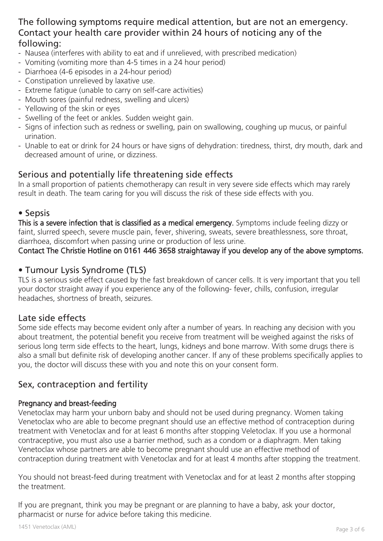# The following symptoms require medical attention, but are not an emergency. Contact your health care provider within 24 hours of noticing any of the following:

- Nausea (interferes with ability to eat and if unrelieved, with prescribed medication)
- Vomiting (vomiting more than 4-5 times in a 24 hour period)
- Diarrhoea (4-6 episodes in a 24-hour period)
- Constipation unrelieved by laxative use.
- Extreme fatigue (unable to carry on self-care activities)
- Mouth sores (painful redness, swelling and ulcers)
- Yellowing of the skin or eyes
- Swelling of the feet or ankles. Sudden weight gain.
- Signs of infection such as redness or swelling, pain on swallowing, coughing up mucus, or painful urination.
- Unable to eat or drink for 24 hours or have signs of dehydration: tiredness, thirst, dry mouth, dark and decreased amount of urine, or dizziness.

#### Serious and potentially life threatening side effects

In a small proportion of patients chemotherapy can result in very severe side effects which may rarely result in death. The team caring for you will discuss the risk of these side effects with you.

#### • Sepsis

This is a severe infection that is classified as a medical emergency. Symptoms include feeling dizzy or faint, slurred speech, severe muscle pain, fever, shivering, sweats, severe breathlessness, sore throat, diarrhoea, discomfort when passing urine or production of less urine.

Contact The Christie Hotline on 0161 446 3658 straightaway if you develop any of the above symptoms.

### • Tumour Lysis Syndrome (TLS)

TLS is a serious side effect caused by the fast breakdown of cancer cells. It is very important that you tell your doctor straight away if you experience any of the following- fever, chills, confusion, irregular headaches, shortness of breath, seizures.

#### Late side effects

Some side effects may become evident only after a number of years. In reaching any decision with you about treatment, the potential benefit you receive from treatment will be weighed against the risks of serious long term side effects to the heart, lungs, kidneys and bone marrow. With some drugs there is also a small but definite risk of developing another cancer. If any of these problems specifically applies to you, the doctor will discuss these with you and note this on your consent form.

# Sex, contraception and fertility

#### Pregnancy and breast-feeding

Venetoclax may harm your unborn baby and should not be used during pregnancy. Women taking Venetoclax who are able to become pregnant should use an effective method of contraception during treatment with Venetoclax and for at least 6 months after stopping Veletoclax. If you use a hormonal contraceptive, you must also use a barrier method, such as a condom or a diaphragm. Men taking Venetoclax whose partners are able to become pregnant should use an effective method of contraception during treatment with Venetoclax and for at least 4 months after stopping the treatment.

You should not breast-feed during treatment with Venetoclax and for at least 2 months after stopping the treatment.

If you are pregnant, think you may be pregnant or are planning to have a baby, ask your doctor, pharmacist or nurse for advice before taking this medicine.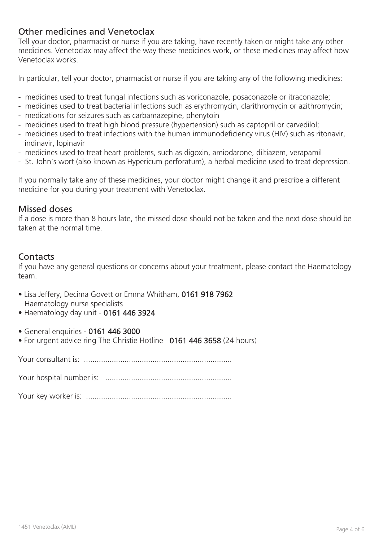# Other medicines and Venetoclax

Tell your doctor, pharmacist or nurse if you are taking, have recently taken or might take any other medicines. Venetoclax may affect the way these medicines work, or these medicines may affect how Venetoclax works.

In particular, tell your doctor, pharmacist or nurse if you are taking any of the following medicines:

- medicines used to treat fungal infections such as voriconazole, posaconazole or itraconazole;
- medicines used to treat bacterial infections such as erythromycin, clarithromycin or azithromycin;
- medications for seizures such as carbamazepine, phenytoin
- medicines used to treat high blood pressure (hypertension) such as captopril or carvedilol;
- medicines used to treat infections with the human immunodeficiency virus (HIV) such as ritonavir, indinavir, lopinavir
- medicines used to treat heart problems, such as digoxin, amiodarone, diltiazem, verapamil
- St. John's wort (also known as Hypericum perforatum), a herbal medicine used to treat depression.

If you normally take any of these medicines, your doctor might change it and prescribe a different medicine for you during your treatment with Venetoclax.

# Missed doses

If a dose is more than 8 hours late, the missed dose should not be taken and the next dose should be taken at the normal time.

# **Contacts**

If you have any general questions or concerns about your treatment, please contact the Haematology team.

- Lisa Jeffery, Decima Govett or Emma Whitham, 0161 918 7962 Haematology nurse specialists
- Haematology day unit 0161 446 3924
- General enquiries 0161 446 3000
- For urgent advice ring The Christie Hotline 0161 446 3658 (24 hours)

Your consultant is: .....................................................................

Your hospital number is: ...........................................................

Your key worker is: ....................................................................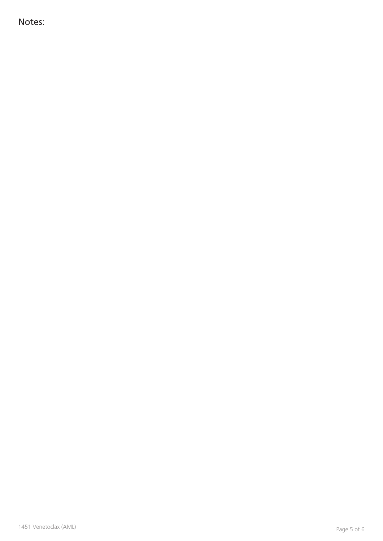Notes: